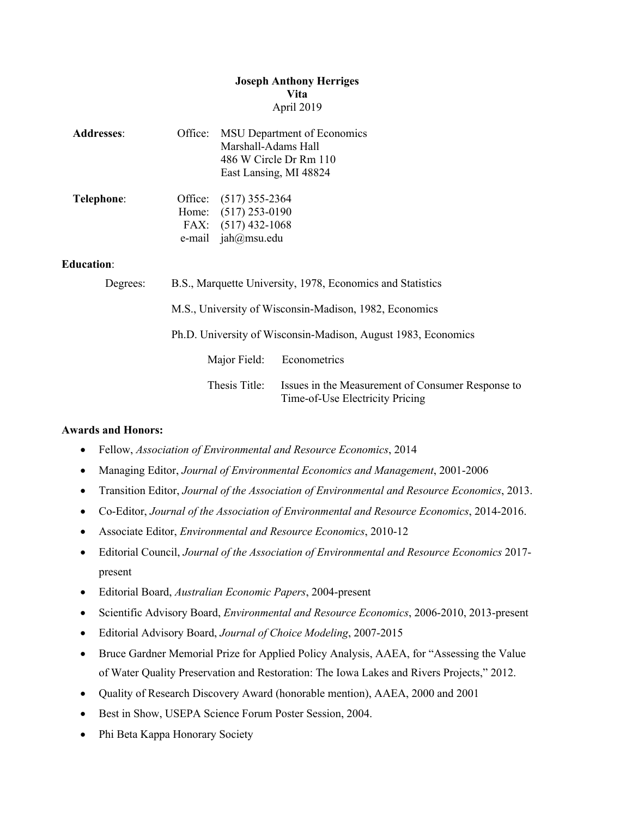| <b>Joseph Anthony Herriges</b><br>Vita<br>April 2019 |                                                            |                                                                                             |                                                                                         |  |  |
|------------------------------------------------------|------------------------------------------------------------|---------------------------------------------------------------------------------------------|-----------------------------------------------------------------------------------------|--|--|
| <b>Addresses:</b>                                    |                                                            | Marshall-Adams Hall                                                                         | Office: MSU Department of Economics<br>486 W Circle Dr Rm 110<br>East Lansing, MI 48824 |  |  |
| Telephone:                                           |                                                            | Office: (517) 355-2364<br>Home: (517) 253-0190<br>FAX: (517) 432-1068<br>e-mail jah@msu.edu |                                                                                         |  |  |
| <b>Education:</b>                                    |                                                            |                                                                                             |                                                                                         |  |  |
| Degrees:                                             | B.S., Marquette University, 1978, Economics and Statistics |                                                                                             |                                                                                         |  |  |
|                                                      |                                                            |                                                                                             | M.S., University of Wisconsin-Madison, 1982, Economics                                  |  |  |
|                                                      |                                                            |                                                                                             | Ph.D. University of Wisconsin-Madison, August 1983, Economics                           |  |  |
|                                                      |                                                            | Major Field:                                                                                | Econometrics                                                                            |  |  |
|                                                      |                                                            | Thesis Title:                                                                               | Issues in the Measurement of Consumer Response to<br>Time-of-Use Electricity Pricing    |  |  |

## **Awards and Honors:**

- Fellow, *Association of Environmental and Resource Economics*, 2014
- Managing Editor, *Journal of Environmental Economics and Management*, 2001-2006
- Transition Editor, *Journal of the Association of Environmental and Resource Economics*, 2013.
- Co-Editor, *Journal of the Association of Environmental and Resource Economics*, 2014-2016.
- Associate Editor, *Environmental and Resource Economics*, 2010-12
- Editorial Council, *Journal of the Association of Environmental and Resource Economics* 2017 present
- Editorial Board, *Australian Economic Papers*, 2004-present
- Scientific Advisory Board, *Environmental and Resource Economics*, 2006-2010, 2013-present
- Editorial Advisory Board, *Journal of Choice Modeling*, 2007-2015
- Bruce Gardner Memorial Prize for Applied Policy Analysis, AAEA, for "Assessing the Value of Water Quality Preservation and Restoration: The Iowa Lakes and Rivers Projects," 2012.
- Quality of Research Discovery Award (honorable mention), AAEA, 2000 and 2001
- Best in Show, USEPA Science Forum Poster Session, 2004.
- Phi Beta Kappa Honorary Society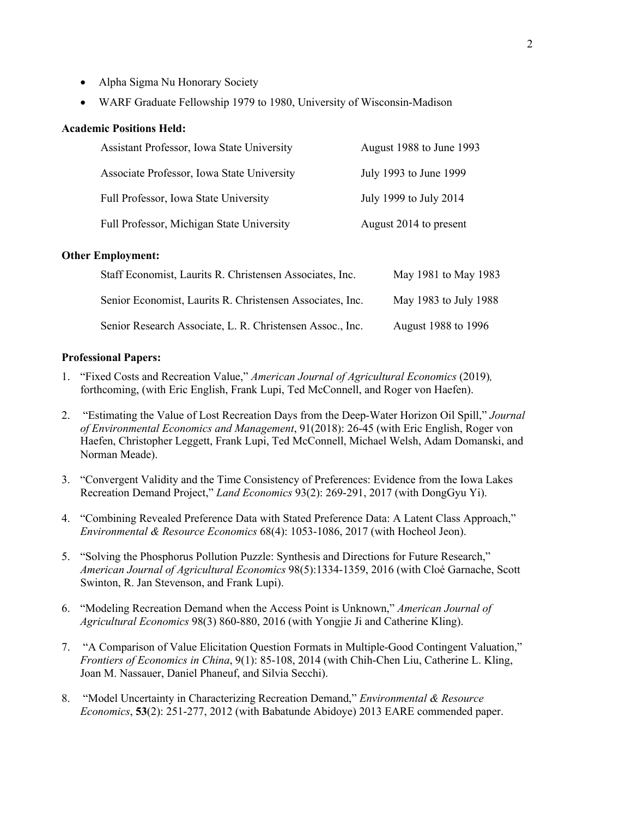- Alpha Sigma Nu Honorary Society
- WARF Graduate Fellowship 1979 to 1980, University of Wisconsin-Madison

#### **Academic Positions Held:**

| Assistant Professor, Iowa State University | August 1988 to June 1993 |
|--------------------------------------------|--------------------------|
| Associate Professor, Iowa State University | July 1993 to June 1999   |
| Full Professor, Iowa State University      | July 1999 to July 2014   |
| Full Professor, Michigan State University  | August 2014 to present   |

### **Other Employment:**

| Staff Economist, Laurits R. Christensen Associates, Inc.  | May 1981 to May 1983  |
|-----------------------------------------------------------|-----------------------|
| Senior Economist, Laurits R. Christensen Associates, Inc. | May 1983 to July 1988 |
| Senior Research Associate, L. R. Christensen Assoc., Inc. | August 1988 to 1996   |

#### **Professional Papers:**

- 1. "Fixed Costs and Recreation Value," *American Journal of Agricultural Economics* (2019)*,* forthcoming, (with Eric English, Frank Lupi, Ted McConnell, and Roger von Haefen).
- 2. "Estimating the Value of Lost Recreation Days from the Deep-Water Horizon Oil Spill," *Journal of Environmental Economics and Management*, 91(2018): 26-45 (with Eric English, Roger von Haefen, Christopher Leggett, Frank Lupi, Ted McConnell, Michael Welsh, Adam Domanski, and Norman Meade).
- 3. "Convergent Validity and the Time Consistency of Preferences: Evidence from the Iowa Lakes Recreation Demand Project," *Land Economics* 93(2): 269-291, 2017 (with DongGyu Yi).
- 4. "Combining Revealed Preference Data with Stated Preference Data: A Latent Class Approach," *Environmental & Resource Economics* 68(4): 1053-1086, 2017 (with Hocheol Jeon).
- 5. "Solving the Phosphorus Pollution Puzzle: Synthesis and Directions for Future Research," *American Journal of Agricultural Economics* 98(5):1334-1359, 2016 (with Cloé Garnache, Scott Swinton, R. Jan Stevenson, and Frank Lupi).
- 6. "Modeling Recreation Demand when the Access Point is Unknown," *American Journal of Agricultural Economics* 98(3) 860-880, 2016 (with Yongjie Ji and Catherine Kling).
- 7. "A Comparison of Value Elicitation Question Formats in Multiple-Good Contingent Valuation," *Frontiers of Economics in China*, 9(1): 85-108, 2014 (with Chih-Chen Liu, Catherine L. Kling, Joan M. Nassauer, Daniel Phaneuf, and Silvia Secchi).
- 8. "Model Uncertainty in Characterizing Recreation Demand," *Environmental & Resource Economics*, **53**(2): 251-277, 2012 (with Babatunde Abidoye) 2013 EARE commended paper.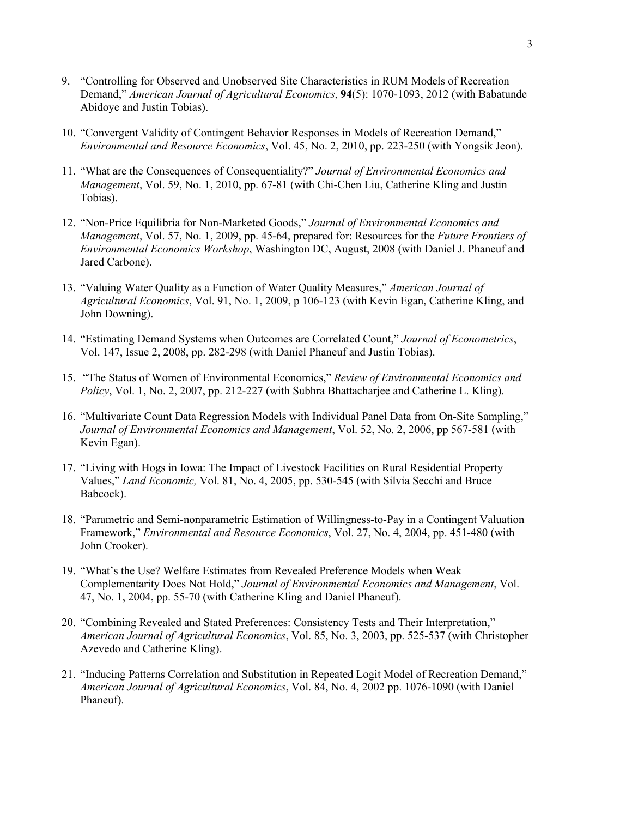- 9. "Controlling for Observed and Unobserved Site Characteristics in RUM Models of Recreation Demand," *American Journal of Agricultural Economics*, **94**(5): 1070-1093, 2012 (with Babatunde Abidoye and Justin Tobias).
- 10. "Convergent Validity of Contingent Behavior Responses in Models of Recreation Demand," *Environmental and Resource Economics*, Vol. 45, No. 2, 2010, pp. 223-250 (with Yongsik Jeon).
- 11. "What are the Consequences of Consequentiality?" *Journal of Environmental Economics and Management*, Vol. 59, No. 1, 2010, pp. 67-81 (with Chi-Chen Liu, Catherine Kling and Justin Tobias).
- 12. "Non-Price Equilibria for Non-Marketed Goods," *Journal of Environmental Economics and Management*, Vol. 57, No. 1, 2009, pp. 45-64, prepared for: Resources for the *Future Frontiers of Environmental Economics Workshop*, Washington DC, August, 2008 (with Daniel J. Phaneuf and Jared Carbone).
- 13. "Valuing Water Quality as a Function of Water Quality Measures," *American Journal of Agricultural Economics*, Vol. 91, No. 1, 2009, p 106-123 (with Kevin Egan, Catherine Kling, and John Downing).
- 14. "Estimating Demand Systems when Outcomes are Correlated Count," *Journal of Econometrics*, Vol. 147, Issue 2, 2008, pp. 282-298 (with Daniel Phaneuf and Justin Tobias).
- 15. "The Status of Women of Environmental Economics," *Review of Environmental Economics and Policy*, Vol. 1, No. 2, 2007, pp. 212-227 (with Subhra Bhattacharjee and Catherine L. Kling).
- 16. "Multivariate Count Data Regression Models with Individual Panel Data from On-Site Sampling," *Journal of Environmental Economics and Management*, Vol. 52, No. 2, 2006, pp 567-581 (with Kevin Egan).
- 17. "Living with Hogs in Iowa: The Impact of Livestock Facilities on Rural Residential Property Values," *Land Economic,* Vol. 81, No. 4, 2005, pp. 530-545 (with Silvia Secchi and Bruce Babcock).
- 18. "Parametric and Semi-nonparametric Estimation of Willingness-to-Pay in a Contingent Valuation Framework," *Environmental and Resource Economics*, Vol. 27, No. 4, 2004, pp. 451-480 (with John Crooker).
- 19. "What's the Use? Welfare Estimates from Revealed Preference Models when Weak Complementarity Does Not Hold," *Journal of Environmental Economics and Management*, Vol. 47, No. 1, 2004, pp. 55-70 (with Catherine Kling and Daniel Phaneuf).
- 20. "Combining Revealed and Stated Preferences: Consistency Tests and Their Interpretation," *American Journal of Agricultural Economics*, Vol. 85, No. 3, 2003, pp. 525-537 (with Christopher Azevedo and Catherine Kling).
- 21. "Inducing Patterns Correlation and Substitution in Repeated Logit Model of Recreation Demand," *American Journal of Agricultural Economics*, Vol. 84, No. 4, 2002 pp. 1076-1090 (with Daniel Phaneuf).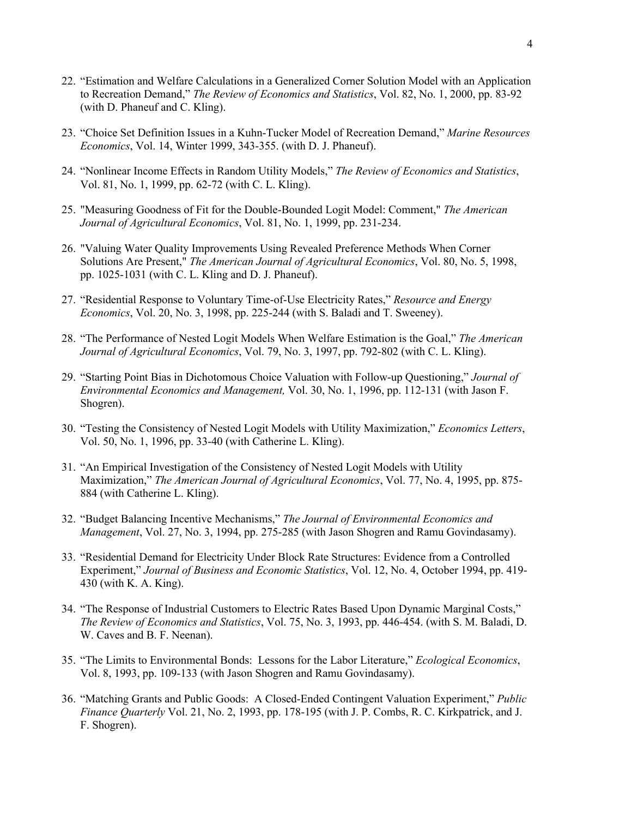- 22. "Estimation and Welfare Calculations in a Generalized Corner Solution Model with an Application to Recreation Demand," *The Review of Economics and Statistics*, Vol. 82, No. 1, 2000, pp. 83-92 (with D. Phaneuf and C. Kling).
- 23. "Choice Set Definition Issues in a Kuhn-Tucker Model of Recreation Demand," *Marine Resources Economics*, Vol. 14, Winter 1999, 343-355. (with D. J. Phaneuf).
- 24. "Nonlinear Income Effects in Random Utility Models," *The Review of Economics and Statistics*, Vol. 81, No. 1, 1999, pp. 62-72 (with C. L. Kling).
- 25. "Measuring Goodness of Fit for the Double-Bounded Logit Model: Comment," *The American Journal of Agricultural Economics*, Vol. 81, No. 1, 1999, pp. 231-234.
- 26. "Valuing Water Quality Improvements Using Revealed Preference Methods When Corner Solutions Are Present," *The American Journal of Agricultural Economics*, Vol. 80, No. 5, 1998, pp. 1025-1031 (with C. L. Kling and D. J. Phaneuf).
- 27. "Residential Response to Voluntary Time-of-Use Electricity Rates," *Resource and Energy Economics*, Vol. 20, No. 3, 1998, pp. 225-244 (with S. Baladi and T. Sweeney).
- 28. "The Performance of Nested Logit Models When Welfare Estimation is the Goal," *The American Journal of Agricultural Economics*, Vol. 79, No. 3, 1997, pp. 792-802 (with C. L. Kling).
- 29. "Starting Point Bias in Dichotomous Choice Valuation with Follow-up Questioning," *Journal of Environmental Economics and Management,* Vol. 30, No. 1, 1996, pp. 112-131 (with Jason F. Shogren).
- 30. "Testing the Consistency of Nested Logit Models with Utility Maximization," *Economics Letters*, Vol. 50, No. 1, 1996, pp. 33-40 (with Catherine L. Kling).
- 31. "An Empirical Investigation of the Consistency of Nested Logit Models with Utility Maximization," *The American Journal of Agricultural Economics*, Vol. 77, No. 4, 1995, pp. 875- 884 (with Catherine L. Kling).
- 32. "Budget Balancing Incentive Mechanisms," *The Journal of Environmental Economics and Management*, Vol. 27, No. 3, 1994, pp. 275-285 (with Jason Shogren and Ramu Govindasamy).
- 33. "Residential Demand for Electricity Under Block Rate Structures: Evidence from a Controlled Experiment," *Journal of Business and Economic Statistics*, Vol. 12, No. 4, October 1994, pp. 419- 430 (with K. A. King).
- 34. "The Response of Industrial Customers to Electric Rates Based Upon Dynamic Marginal Costs," *The Review of Economics and Statistics*, Vol. 75, No. 3, 1993, pp. 446-454. (with S. M. Baladi, D. W. Caves and B. F. Neenan).
- 35. "The Limits to Environmental Bonds: Lessons for the Labor Literature," *Ecological Economics*, Vol. 8, 1993, pp. 109-133 (with Jason Shogren and Ramu Govindasamy).
- 36. "Matching Grants and Public Goods: A Closed-Ended Contingent Valuation Experiment," *Public Finance Quarterly* Vol. 21, No. 2, 1993, pp. 178-195 (with J. P. Combs, R. C. Kirkpatrick, and J. F. Shogren).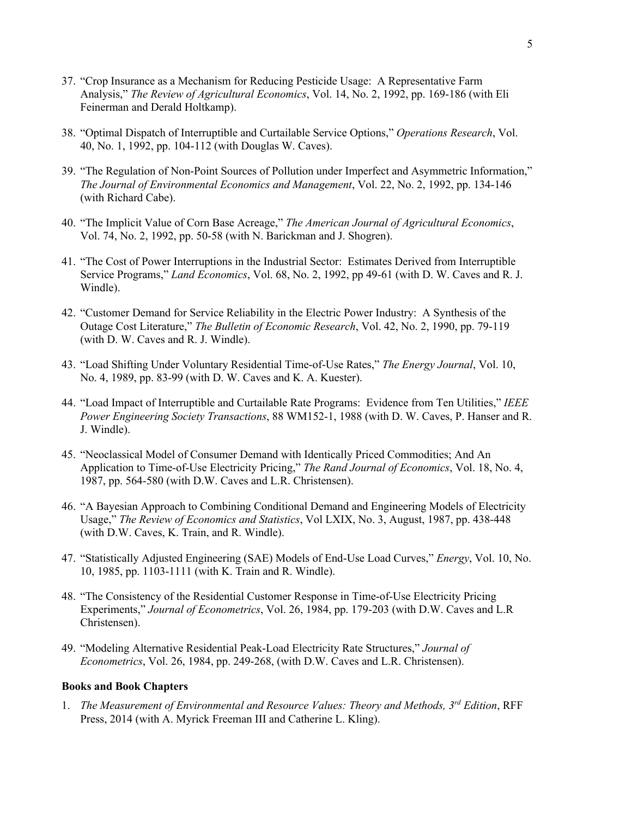- 37. "Crop Insurance as a Mechanism for Reducing Pesticide Usage: A Representative Farm Analysis," *The Review of Agricultural Economics*, Vol. 14, No. 2, 1992, pp. 169-186 (with Eli Feinerman and Derald Holtkamp).
- 38. "Optimal Dispatch of Interruptible and Curtailable Service Options," *Operations Research*, Vol. 40, No. 1, 1992, pp. 104-112 (with Douglas W. Caves).
- 39. "The Regulation of Non-Point Sources of Pollution under Imperfect and Asymmetric Information," *The Journal of Environmental Economics and Management*, Vol. 22, No. 2, 1992, pp. 134-146 (with Richard Cabe).
- 40. "The Implicit Value of Corn Base Acreage," *The American Journal of Agricultural Economics*, Vol. 74, No. 2, 1992, pp. 50-58 (with N. Barickman and J. Shogren).
- 41. "The Cost of Power Interruptions in the Industrial Sector: Estimates Derived from Interruptible Service Programs," *Land Economics*, Vol. 68, No. 2, 1992, pp 49-61 (with D. W. Caves and R. J. Windle).
- 42. "Customer Demand for Service Reliability in the Electric Power Industry: A Synthesis of the Outage Cost Literature," *The Bulletin of Economic Research*, Vol. 42, No. 2, 1990, pp. 79-119 (with D. W. Caves and R. J. Windle).
- 43. "Load Shifting Under Voluntary Residential Time-of-Use Rates," *The Energy Journal*, Vol. 10, No. 4, 1989, pp. 83-99 (with D. W. Caves and K. A. Kuester).
- 44. "Load Impact of Interruptible and Curtailable Rate Programs: Evidence from Ten Utilities," *IEEE Power Engineering Society Transactions*, 88 WM152-1, 1988 (with D. W. Caves, P. Hanser and R. J. Windle).
- 45. "Neoclassical Model of Consumer Demand with Identically Priced Commodities; And An Application to Time-of-Use Electricity Pricing," *The Rand Journal of Economics*, Vol. 18, No. 4, 1987, pp. 564-580 (with D.W. Caves and L.R. Christensen).
- 46. "A Bayesian Approach to Combining Conditional Demand and Engineering Models of Electricity Usage," *The Review of Economics and Statistics*, Vol LXIX, No. 3, August, 1987, pp. 438-448 (with D.W. Caves, K. Train, and R. Windle).
- 47. "Statistically Adjusted Engineering (SAE) Models of End-Use Load Curves," *Energy*, Vol. 10, No. 10, 1985, pp. 1103-1111 (with K. Train and R. Windle).
- 48. "The Consistency of the Residential Customer Response in Time-of-Use Electricity Pricing Experiments," *Journal of Econometrics*, Vol. 26, 1984, pp. 179-203 (with D.W. Caves and L.R Christensen).
- 49. "Modeling Alternative Residential Peak-Load Electricity Rate Structures," *Journal of Econometrics*, Vol. 26, 1984, pp. 249-268, (with D.W. Caves and L.R. Christensen).

## **Books and Book Chapters**

1. *The Measurement of Environmental and Resource Values: Theory and Methods, 3rd Edition*, RFF Press, 2014 (with A. Myrick Freeman III and Catherine L. Kling).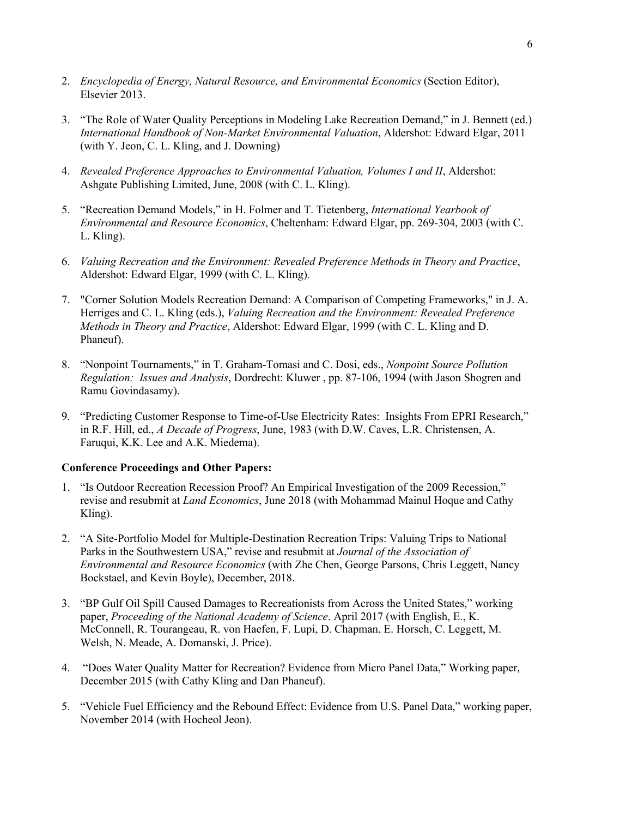- 2. *Encyclopedia of Energy, Natural Resource, and Environmental Economics* (Section Editor), Elsevier 2013.
- 3. "The Role of Water Quality Perceptions in Modeling Lake Recreation Demand," in J. Bennett (ed.) *International Handbook of Non-Market Environmental Valuation*, Aldershot: Edward Elgar, 2011 (with Y. Jeon, C. L. Kling, and J. Downing)
- 4. *Revealed Preference Approaches to Environmental Valuation, Volumes I and II*, Aldershot: Ashgate Publishing Limited, June, 2008 (with C. L. Kling).
- 5. "Recreation Demand Models," in H. Folmer and T. Tietenberg, *International Yearbook of Environmental and Resource Economics*, Cheltenham: Edward Elgar, pp. 269-304, 2003 (with C. L. Kling).
- 6. *Valuing Recreation and the Environment: Revealed Preference Methods in Theory and Practice*, Aldershot: Edward Elgar, 1999 (with C. L. Kling).
- 7. "Corner Solution Models Recreation Demand: A Comparison of Competing Frameworks," in J. A. Herriges and C. L. Kling (eds.), *Valuing Recreation and the Environment: Revealed Preference Methods in Theory and Practice*, Aldershot: Edward Elgar, 1999 (with C. L. Kling and D. Phaneuf).
- 8. "Nonpoint Tournaments," in T. Graham-Tomasi and C. Dosi, eds., *Nonpoint Source Pollution Regulation: Issues and Analysis*, Dordrecht: Kluwer , pp. 87-106, 1994 (with Jason Shogren and Ramu Govindasamy).
- 9. "Predicting Customer Response to Time-of-Use Electricity Rates: Insights From EPRI Research," in R.F. Hill, ed., *A Decade of Progress*, June, 1983 (with D.W. Caves, L.R. Christensen, A. Faruqui, K.K. Lee and A.K. Miedema).

# **Conference Proceedings and Other Papers:**

- 1. "Is Outdoor Recreation Recession Proof? An Empirical Investigation of the 2009 Recession," revise and resubmit at *Land Economics*, June 2018 (with Mohammad Mainul Hoque and Cathy Kling).
- 2. "A Site-Portfolio Model for Multiple-Destination Recreation Trips: Valuing Trips to National Parks in the Southwestern USA," revise and resubmit at *Journal of the Association of Environmental and Resource Economics* (with Zhe Chen, George Parsons, Chris Leggett, Nancy Bockstael, and Kevin Boyle), December, 2018.
- 3. "BP Gulf Oil Spill Caused Damages to Recreationists from Across the United States," working paper, *Proceeding of the National Academy of Science*. April 2017 (with English, E., K. McConnell, R. Tourangeau, R. von Haefen, F. Lupi, D. Chapman, E. Horsch, C. Leggett, M. Welsh, N. Meade, A. Domanski, J. Price).
- 4. "Does Water Quality Matter for Recreation? Evidence from Micro Panel Data," Working paper, December 2015 (with Cathy Kling and Dan Phaneuf).
- 5. "Vehicle Fuel Efficiency and the Rebound Effect: Evidence from U.S. Panel Data," working paper, November 2014 (with Hocheol Jeon).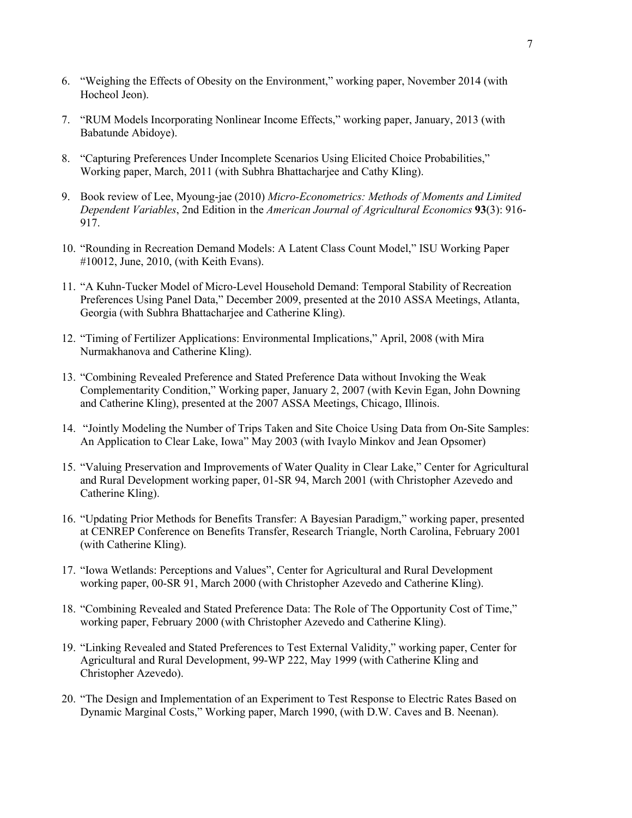- 6. "Weighing the Effects of Obesity on the Environment," working paper, November 2014 (with Hocheol Jeon).
- 7. "RUM Models Incorporating Nonlinear Income Effects," working paper, January, 2013 (with Babatunde Abidoye).
- 8. "Capturing Preferences Under Incomplete Scenarios Using Elicited Choice Probabilities," Working paper, March, 2011 (with Subhra Bhattacharjee and Cathy Kling).
- 9. Book review of Lee, Myoung-jae (2010) *Micro-Econometrics: Methods of Moments and Limited Dependent Variables*, 2nd Edition in the *American Journal of Agricultural Economics* **93**(3): 916- 917.
- 10. "Rounding in Recreation Demand Models: A Latent Class Count Model," ISU Working Paper #10012, June, 2010, (with Keith Evans).
- 11. "A Kuhn-Tucker Model of Micro-Level Household Demand: Temporal Stability of Recreation Preferences Using Panel Data," December 2009, presented at the 2010 ASSA Meetings, Atlanta, Georgia (with Subhra Bhattacharjee and Catherine Kling).
- 12. "Timing of Fertilizer Applications: Environmental Implications," April, 2008 (with Mira Nurmakhanova and Catherine Kling).
- 13. "Combining Revealed Preference and Stated Preference Data without Invoking the Weak Complementarity Condition," Working paper, January 2, 2007 (with Kevin Egan, John Downing and Catherine Kling), presented at the 2007 ASSA Meetings, Chicago, Illinois.
- 14. "Jointly Modeling the Number of Trips Taken and Site Choice Using Data from On-Site Samples: An Application to Clear Lake, Iowa" May 2003 (with Ivaylo Minkov and Jean Opsomer)
- 15. "Valuing Preservation and Improvements of Water Quality in Clear Lake," Center for Agricultural and Rural Development working paper, 01-SR 94, March 2001 (with Christopher Azevedo and Catherine Kling).
- 16. "Updating Prior Methods for Benefits Transfer: A Bayesian Paradigm," working paper, presented at CENREP Conference on Benefits Transfer, Research Triangle, North Carolina, February 2001 (with Catherine Kling).
- 17. "Iowa Wetlands: Perceptions and Values", Center for Agricultural and Rural Development working paper, 00-SR 91, March 2000 (with Christopher Azevedo and Catherine Kling).
- 18. "Combining Revealed and Stated Preference Data: The Role of The Opportunity Cost of Time," working paper, February 2000 (with Christopher Azevedo and Catherine Kling).
- 19. "Linking Revealed and Stated Preferences to Test External Validity," working paper, Center for Agricultural and Rural Development, 99-WP 222, May 1999 (with Catherine Kling and Christopher Azevedo).
- 20. "The Design and Implementation of an Experiment to Test Response to Electric Rates Based on Dynamic Marginal Costs," Working paper, March 1990, (with D.W. Caves and B. Neenan).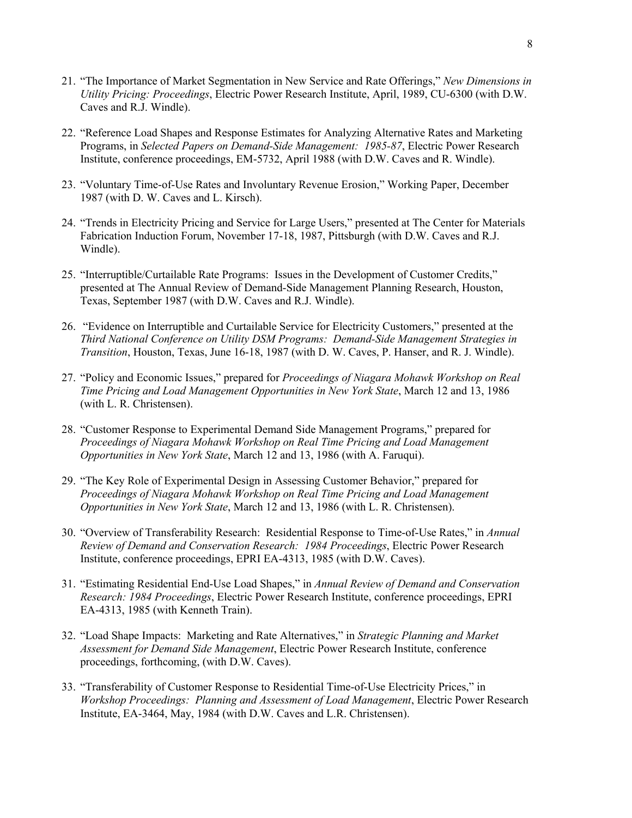- 21. "The Importance of Market Segmentation in New Service and Rate Offerings," *New Dimensions in Utility Pricing: Proceedings*, Electric Power Research Institute, April, 1989, CU-6300 (with D.W. Caves and R.J. Windle).
- 22. "Reference Load Shapes and Response Estimates for Analyzing Alternative Rates and Marketing Programs, in *Selected Papers on Demand-Side Management: 1985-87*, Electric Power Research Institute, conference proceedings, EM-5732, April 1988 (with D.W. Caves and R. Windle).
- 23. "Voluntary Time-of-Use Rates and Involuntary Revenue Erosion," Working Paper, December 1987 (with D. W. Caves and L. Kirsch).
- 24. "Trends in Electricity Pricing and Service for Large Users," presented at The Center for Materials Fabrication Induction Forum, November 17-18, 1987, Pittsburgh (with D.W. Caves and R.J. Windle).
- 25. "Interruptible/Curtailable Rate Programs: Issues in the Development of Customer Credits," presented at The Annual Review of Demand-Side Management Planning Research, Houston, Texas, September 1987 (with D.W. Caves and R.J. Windle).
- 26. "Evidence on Interruptible and Curtailable Service for Electricity Customers," presented at the *Third National Conference on Utility DSM Programs: Demand-Side Management Strategies in Transition*, Houston, Texas, June 16-18, 1987 (with D. W. Caves, P. Hanser, and R. J. Windle).
- 27. "Policy and Economic Issues," prepared for *Proceedings of Niagara Mohawk Workshop on Real Time Pricing and Load Management Opportunities in New York State*, March 12 and 13, 1986 (with L. R. Christensen).
- 28. "Customer Response to Experimental Demand Side Management Programs," prepared for *Proceedings of Niagara Mohawk Workshop on Real Time Pricing and Load Management Opportunities in New York State*, March 12 and 13, 1986 (with A. Faruqui).
- 29. "The Key Role of Experimental Design in Assessing Customer Behavior," prepared for *Proceedings of Niagara Mohawk Workshop on Real Time Pricing and Load Management Opportunities in New York State*, March 12 and 13, 1986 (with L. R. Christensen).
- 30. "Overview of Transferability Research: Residential Response to Time-of-Use Rates," in *Annual Review of Demand and Conservation Research: 1984 Proceedings*, Electric Power Research Institute, conference proceedings, EPRI EA-4313, 1985 (with D.W. Caves).
- 31. "Estimating Residential End-Use Load Shapes," in *Annual Review of Demand and Conservation Research: 1984 Proceedings*, Electric Power Research Institute, conference proceedings, EPRI EA-4313, 1985 (with Kenneth Train).
- 32. "Load Shape Impacts: Marketing and Rate Alternatives," in *Strategic Planning and Market Assessment for Demand Side Management*, Electric Power Research Institute, conference proceedings, forthcoming, (with D.W. Caves).
- 33. "Transferability of Customer Response to Residential Time-of-Use Electricity Prices," in *Workshop Proceedings: Planning and Assessment of Load Management*, Electric Power Research Institute, EA-3464, May, 1984 (with D.W. Caves and L.R. Christensen).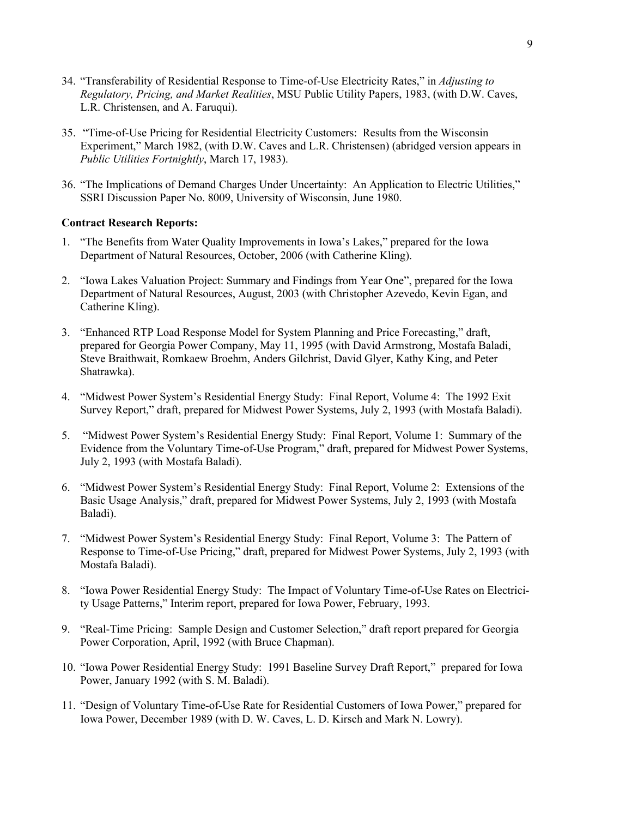- 34. "Transferability of Residential Response to Time-of-Use Electricity Rates," in *Adjusting to Regulatory, Pricing, and Market Realities*, MSU Public Utility Papers, 1983, (with D.W. Caves, L.R. Christensen, and A. Faruqui).
- 35. "Time-of-Use Pricing for Residential Electricity Customers: Results from the Wisconsin Experiment," March 1982, (with D.W. Caves and L.R. Christensen) (abridged version appears in *Public Utilities Fortnightly*, March 17, 1983).
- 36. "The Implications of Demand Charges Under Uncertainty: An Application to Electric Utilities," SSRI Discussion Paper No. 8009, University of Wisconsin, June 1980.

# **Contract Research Reports:**

- 1. "The Benefits from Water Quality Improvements in Iowa's Lakes," prepared for the Iowa Department of Natural Resources, October, 2006 (with Catherine Kling).
- 2. "Iowa Lakes Valuation Project: Summary and Findings from Year One", prepared for the Iowa Department of Natural Resources, August, 2003 (with Christopher Azevedo, Kevin Egan, and Catherine Kling).
- 3. "Enhanced RTP Load Response Model for System Planning and Price Forecasting," draft, prepared for Georgia Power Company, May 11, 1995 (with David Armstrong, Mostafa Baladi, Steve Braithwait, Romkaew Broehm, Anders Gilchrist, David Glyer, Kathy King, and Peter Shatrawka).
- 4. "Midwest Power System's Residential Energy Study: Final Report, Volume 4: The 1992 Exit Survey Report," draft, prepared for Midwest Power Systems, July 2, 1993 (with Mostafa Baladi).
- 5. "Midwest Power System's Residential Energy Study: Final Report, Volume 1: Summary of the Evidence from the Voluntary Time-of-Use Program," draft, prepared for Midwest Power Systems, July 2, 1993 (with Mostafa Baladi).
- 6. "Midwest Power System's Residential Energy Study: Final Report, Volume 2: Extensions of the Basic Usage Analysis," draft, prepared for Midwest Power Systems, July 2, 1993 (with Mostafa Baladi).
- 7. "Midwest Power System's Residential Energy Study: Final Report, Volume 3: The Pattern of Response to Time-of-Use Pricing," draft, prepared for Midwest Power Systems, July 2, 1993 (with Mostafa Baladi).
- 8. "Iowa Power Residential Energy Study: The Impact of Voluntary Time-of-Use Rates on Electricity Usage Patterns," Interim report, prepared for Iowa Power, February, 1993.
- 9. "Real-Time Pricing: Sample Design and Customer Selection," draft report prepared for Georgia Power Corporation, April, 1992 (with Bruce Chapman).
- 10. "Iowa Power Residential Energy Study: 1991 Baseline Survey Draft Report," prepared for Iowa Power, January 1992 (with S. M. Baladi).
- 11. "Design of Voluntary Time-of-Use Rate for Residential Customers of Iowa Power," prepared for Iowa Power, December 1989 (with D. W. Caves, L. D. Kirsch and Mark N. Lowry).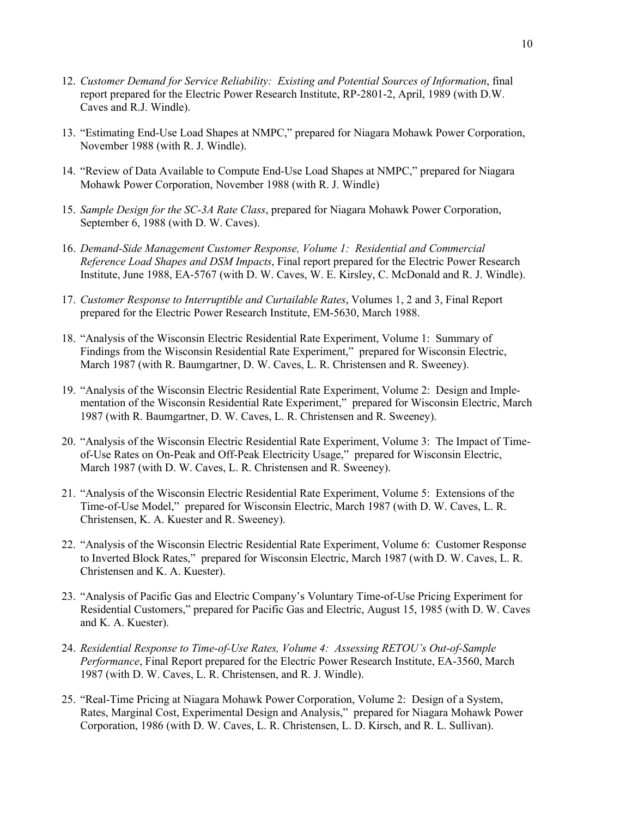- 12. *Customer Demand for Service Reliability: Existing and Potential Sources of Information*, final report prepared for the Electric Power Research Institute, RP-2801-2, April, 1989 (with D.W. Caves and R.J. Windle).
- 13. "Estimating End-Use Load Shapes at NMPC," prepared for Niagara Mohawk Power Corporation, November 1988 (with R. J. Windle).
- 14. "Review of Data Available to Compute End-Use Load Shapes at NMPC," prepared for Niagara Mohawk Power Corporation, November 1988 (with R. J. Windle)
- 15. *Sample Design for the SC-3A Rate Class*, prepared for Niagara Mohawk Power Corporation, September 6, 1988 (with D. W. Caves).
- 16. *Demand-Side Management Customer Response, Volume 1: Residential and Commercial Reference Load Shapes and DSM Impacts*, Final report prepared for the Electric Power Research Institute, June 1988, EA-5767 (with D. W. Caves, W. E. Kirsley, C. McDonald and R. J. Windle).
- 17. *Customer Response to Interruptible and Curtailable Rates*, Volumes 1, 2 and 3, Final Report prepared for the Electric Power Research Institute, EM-5630, March 1988.
- 18. "Analysis of the Wisconsin Electric Residential Rate Experiment, Volume 1: Summary of Findings from the Wisconsin Residential Rate Experiment," prepared for Wisconsin Electric, March 1987 (with R. Baumgartner, D. W. Caves, L. R. Christensen and R. Sweeney).
- 19. "Analysis of the Wisconsin Electric Residential Rate Experiment, Volume 2: Design and Implementation of the Wisconsin Residential Rate Experiment," prepared for Wisconsin Electric, March 1987 (with R. Baumgartner, D. W. Caves, L. R. Christensen and R. Sweeney).
- 20. "Analysis of the Wisconsin Electric Residential Rate Experiment, Volume 3: The Impact of Timeof-Use Rates on On-Peak and Off-Peak Electricity Usage," prepared for Wisconsin Electric, March 1987 (with D. W. Caves, L. R. Christensen and R. Sweeney).
- 21. "Analysis of the Wisconsin Electric Residential Rate Experiment, Volume 5: Extensions of the Time-of-Use Model," prepared for Wisconsin Electric, March 1987 (with D. W. Caves, L. R. Christensen, K. A. Kuester and R. Sweeney).
- 22. "Analysis of the Wisconsin Electric Residential Rate Experiment, Volume 6: Customer Response to Inverted Block Rates," prepared for Wisconsin Electric, March 1987 (with D. W. Caves, L. R. Christensen and K. A. Kuester).
- 23. "Analysis of Pacific Gas and Electric Company's Voluntary Time-of-Use Pricing Experiment for Residential Customers," prepared for Pacific Gas and Electric, August 15, 1985 (with D. W. Caves and K. A. Kuester).
- 24. *Residential Response to Time-of-Use Rates, Volume 4: Assessing RETOU's Out-of-Sample Performance*, Final Report prepared for the Electric Power Research Institute, EA-3560, March 1987 (with D. W. Caves, L. R. Christensen, and R. J. Windle).
- 25. "Real-Time Pricing at Niagara Mohawk Power Corporation, Volume 2: Design of a System, Rates, Marginal Cost, Experimental Design and Analysis," prepared for Niagara Mohawk Power Corporation, 1986 (with D. W. Caves, L. R. Christensen, L. D. Kirsch, and R. L. Sullivan).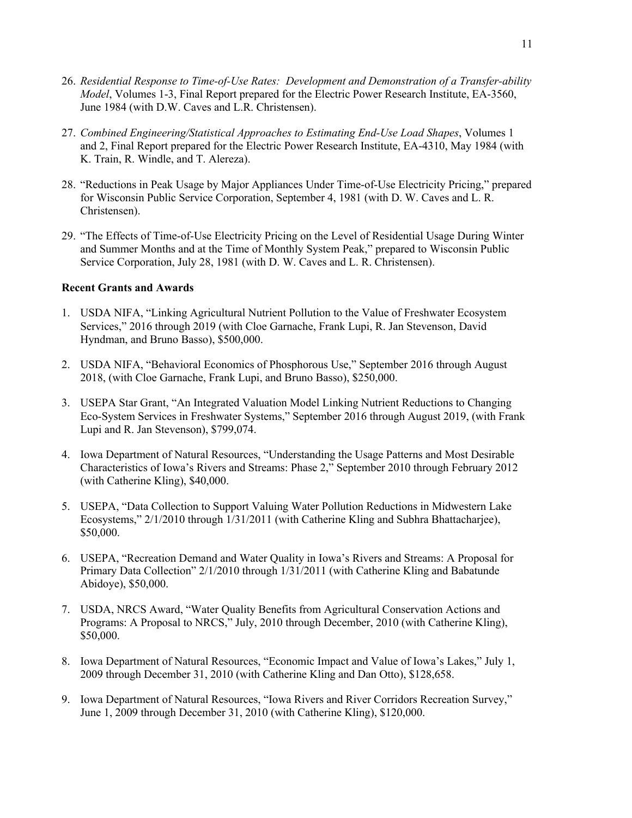- 26. *Residential Response to Time-of-Use Rates: Development and Demonstration of a Transfer-ability Model*, Volumes 1-3, Final Report prepared for the Electric Power Research Institute, EA-3560, June 1984 (with D.W. Caves and L.R. Christensen).
- 27. *Combined Engineering/Statistical Approaches to Estimating End-Use Load Shapes*, Volumes 1 and 2, Final Report prepared for the Electric Power Research Institute, EA-4310, May 1984 (with K. Train, R. Windle, and T. Alereza).
- 28. "Reductions in Peak Usage by Major Appliances Under Time-of-Use Electricity Pricing," prepared for Wisconsin Public Service Corporation, September 4, 1981 (with D. W. Caves and L. R. Christensen).
- 29. "The Effects of Time-of-Use Electricity Pricing on the Level of Residential Usage During Winter and Summer Months and at the Time of Monthly System Peak," prepared to Wisconsin Public Service Corporation, July 28, 1981 (with D. W. Caves and L. R. Christensen).

# **Recent Grants and Awards**

- 1. USDA NIFA, "Linking Agricultural Nutrient Pollution to the Value of Freshwater Ecosystem Services," 2016 through 2019 (with Cloe Garnache, Frank Lupi, R. Jan Stevenson, David Hyndman, and Bruno Basso), \$500,000.
- 2. USDA NIFA, "Behavioral Economics of Phosphorous Use," September 2016 through August 2018, (with Cloe Garnache, Frank Lupi, and Bruno Basso), \$250,000.
- 3. USEPA Star Grant, "An Integrated Valuation Model Linking Nutrient Reductions to Changing Eco-System Services in Freshwater Systems," September 2016 through August 2019, (with Frank Lupi and R. Jan Stevenson), \$799,074.
- 4. Iowa Department of Natural Resources, "Understanding the Usage Patterns and Most Desirable Characteristics of Iowa's Rivers and Streams: Phase 2," September 2010 through February 2012 (with Catherine Kling), \$40,000.
- 5. USEPA, "Data Collection to Support Valuing Water Pollution Reductions in Midwestern Lake Ecosystems," 2/1/2010 through 1/31/2011 (with Catherine Kling and Subhra Bhattacharjee), \$50,000.
- 6. USEPA, "Recreation Demand and Water Quality in Iowa's Rivers and Streams: A Proposal for Primary Data Collection" 2/1/2010 through 1/31/2011 (with Catherine Kling and Babatunde Abidoye), \$50,000.
- 7. USDA, NRCS Award, "Water Quality Benefits from Agricultural Conservation Actions and Programs: A Proposal to NRCS," July, 2010 through December, 2010 (with Catherine Kling), \$50,000.
- 8. Iowa Department of Natural Resources, "Economic Impact and Value of Iowa's Lakes," July 1, 2009 through December 31, 2010 (with Catherine Kling and Dan Otto), \$128,658.
- 9. Iowa Department of Natural Resources, "Iowa Rivers and River Corridors Recreation Survey," June 1, 2009 through December 31, 2010 (with Catherine Kling), \$120,000.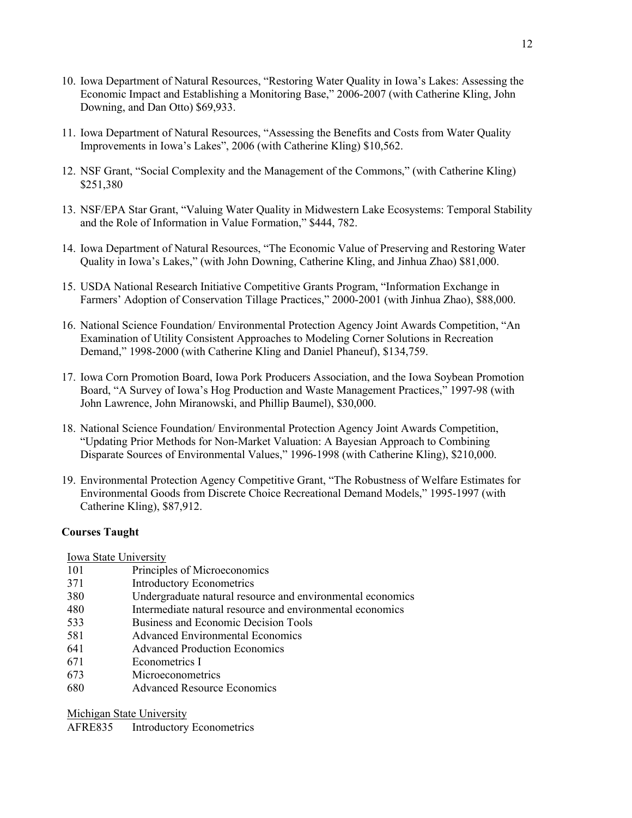- 10. Iowa Department of Natural Resources, "Restoring Water Quality in Iowa's Lakes: Assessing the Economic Impact and Establishing a Monitoring Base," 2006-2007 (with Catherine Kling, John Downing, and Dan Otto) \$69,933.
- 11. Iowa Department of Natural Resources, "Assessing the Benefits and Costs from Water Quality Improvements in Iowa's Lakes", 2006 (with Catherine Kling) \$10,562.
- 12. NSF Grant, "Social Complexity and the Management of the Commons," (with Catherine Kling) \$251,380
- 13. NSF/EPA Star Grant, "Valuing Water Quality in Midwestern Lake Ecosystems: Temporal Stability and the Role of Information in Value Formation," \$444, 782.
- 14. Iowa Department of Natural Resources, "The Economic Value of Preserving and Restoring Water Quality in Iowa's Lakes," (with John Downing, Catherine Kling, and Jinhua Zhao) \$81,000.
- 15. USDA National Research Initiative Competitive Grants Program, "Information Exchange in Farmers' Adoption of Conservation Tillage Practices," 2000-2001 (with Jinhua Zhao), \$88,000.
- 16. National Science Foundation/ Environmental Protection Agency Joint Awards Competition, "An Examination of Utility Consistent Approaches to Modeling Corner Solutions in Recreation Demand," 1998-2000 (with Catherine Kling and Daniel Phaneuf), \$134,759.
- 17. Iowa Corn Promotion Board, Iowa Pork Producers Association, and the Iowa Soybean Promotion Board, "A Survey of Iowa's Hog Production and Waste Management Practices," 1997-98 (with John Lawrence, John Miranowski, and Phillip Baumel), \$30,000.
- 18. National Science Foundation/ Environmental Protection Agency Joint Awards Competition, "Updating Prior Methods for Non-Market Valuation: A Bayesian Approach to Combining Disparate Sources of Environmental Values," 1996-1998 (with Catherine Kling), \$210,000.
- 19. Environmental Protection Agency Competitive Grant, "The Robustness of Welfare Estimates for Environmental Goods from Discrete Choice Recreational Demand Models," 1995-1997 (with Catherine Kling), \$87,912.

## **Courses Taught**

Iowa State University

- 101 Principles of Microeconomics 371 Introductory Econometrics
- 380 Undergraduate natural resource and environmental economics
- 480 Intermediate natural resource and environmental economics
- 533 Business and Economic Decision Tools
- 581 Advanced Environmental Economics
- 641 Advanced Production Economics
- 671 Econometrics I
- 673 Microeconometrics
- 680 Advanced Resource Economics

Michigan State University

AFRE835 Introductory Econometrics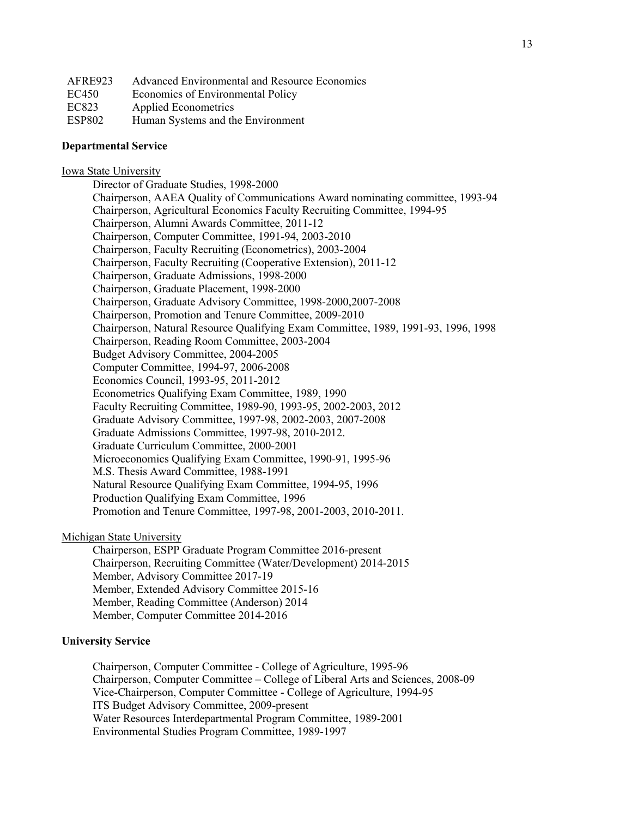| Advanced Environmental and Resource Economics<br>AFRE923 |  |
|----------------------------------------------------------|--|
| EC450<br>Economics of Environmental Policy               |  |
| EC823<br><b>Applied Econometrics</b>                     |  |
| <b>ESP802</b><br>Human Systems and the Environment       |  |

#### **Departmental Service**

Iowa State University

Director of Graduate Studies, 1998-2000 Chairperson, AAEA Quality of Communications Award nominating committee, 1993-94 Chairperson, Agricultural Economics Faculty Recruiting Committee, 1994-95 Chairperson, Alumni Awards Committee, 2011-12 Chairperson, Computer Committee, 1991-94, 2003-2010 Chairperson, Faculty Recruiting (Econometrics), 2003-2004 Chairperson, Faculty Recruiting (Cooperative Extension), 2011-12 Chairperson, Graduate Admissions, 1998-2000 Chairperson, Graduate Placement, 1998-2000 Chairperson, Graduate Advisory Committee, 1998-2000,2007-2008 Chairperson, Promotion and Tenure Committee, 2009-2010 Chairperson, Natural Resource Qualifying Exam Committee, 1989, 1991-93, 1996, 1998 Chairperson, Reading Room Committee, 2003-2004 Budget Advisory Committee, 2004-2005 Computer Committee, 1994-97, 2006-2008 Economics Council, 1993-95, 2011-2012 Econometrics Qualifying Exam Committee, 1989, 1990 Faculty Recruiting Committee, 1989-90, 1993-95, 2002-2003, 2012 Graduate Advisory Committee, 1997-98, 2002-2003, 2007-2008 Graduate Admissions Committee, 1997-98, 2010-2012. Graduate Curriculum Committee, 2000-2001 Microeconomics Qualifying Exam Committee, 1990-91, 1995-96 M.S. Thesis Award Committee, 1988-1991 Natural Resource Qualifying Exam Committee, 1994-95, 1996 Production Qualifying Exam Committee, 1996 Promotion and Tenure Committee, 1997-98, 2001-2003, 2010-2011.

#### Michigan State University

Chairperson, ESPP Graduate Program Committee 2016-present Chairperson, Recruiting Committee (Water/Development) 2014-2015 Member, Advisory Committee 2017-19 Member, Extended Advisory Committee 2015-16 Member, Reading Committee (Anderson) 2014 Member, Computer Committee 2014-2016

### **University Service**

Chairperson, Computer Committee - College of Agriculture, 1995-96 Chairperson, Computer Committee – College of Liberal Arts and Sciences, 2008-09 Vice-Chairperson, Computer Committee - College of Agriculture, 1994-95 ITS Budget Advisory Committee, 2009-present Water Resources Interdepartmental Program Committee, 1989-2001 Environmental Studies Program Committee, 1989-1997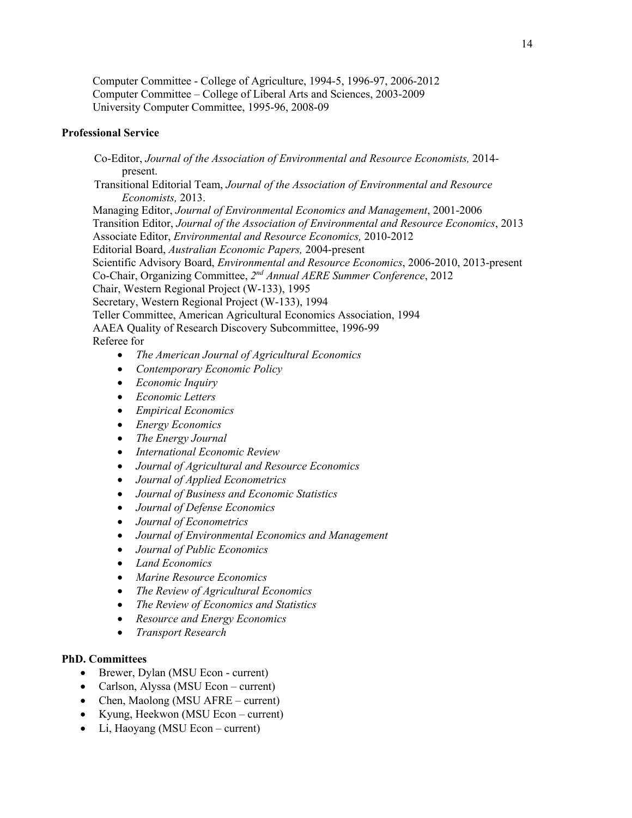Computer Committee - College of Agriculture, 1994-5, 1996-97, 2006-2012 Computer Committee – College of Liberal Arts and Sciences, 2003-2009 University Computer Committee, 1995-96, 2008-09

# **Professional Service**

Co-Editor, *Journal of the Association of Environmental and Resource Economists,* 2014 present.

Transitional Editorial Team, *Journal of the Association of Environmental and Resource Economists,* 2013.

Managing Editor, *Journal of Environmental Economics and Management*, 2001-2006

Transition Editor, *Journal of the Association of Environmental and Resource Economics*, 2013

Associate Editor, *Environmental and Resource Economics,* 2010-2012

Editorial Board, *Australian Economic Papers,* 2004-present

Scientific Advisory Board, *Environmental and Resource Economics*, 2006-2010, 2013-present Co-Chair, Organizing Committee, *2nd Annual AERE Summer Conference*, 2012

Chair, Western Regional Project (W-133), 1995

Secretary, Western Regional Project (W-133), 1994

Teller Committee, American Agricultural Economics Association, 1994

AAEA Quality of Research Discovery Subcommittee, 1996-99

Referee for

- *The American Journal of Agricultural Economics*
- *Contemporary Economic Policy*
- *Economic Inquiry*
- *Economic Letters*
- *Empirical Economics*
- *Energy Economics*
- *The Energy Journal*
- *International Economic Review*
- *Journal of Agricultural and Resource Economics*
- *Journal of Applied Econometrics*
- *Journal of Business and Economic Statistics*
- *Journal of Defense Economics*
- *Journal of Econometrics*
- *Journal of Environmental Economics and Management*
- *Journal of Public Economics*
- *Land Economics*
- *Marine Resource Economics*
- *The Review of Agricultural Economics*
- *The Review of Economics and Statistics*
- *Resource and Energy Economics*
- *Transport Research*

# **PhD. Committees**

- Brewer, Dylan (MSU Econ current)
- Carlson, Alyssa (MSU Econ current)
- Chen, Maolong (MSU AFRE current)
- Kyung, Heekwon (MSU Econ current)
- Li, Haoyang (MSU Econ current)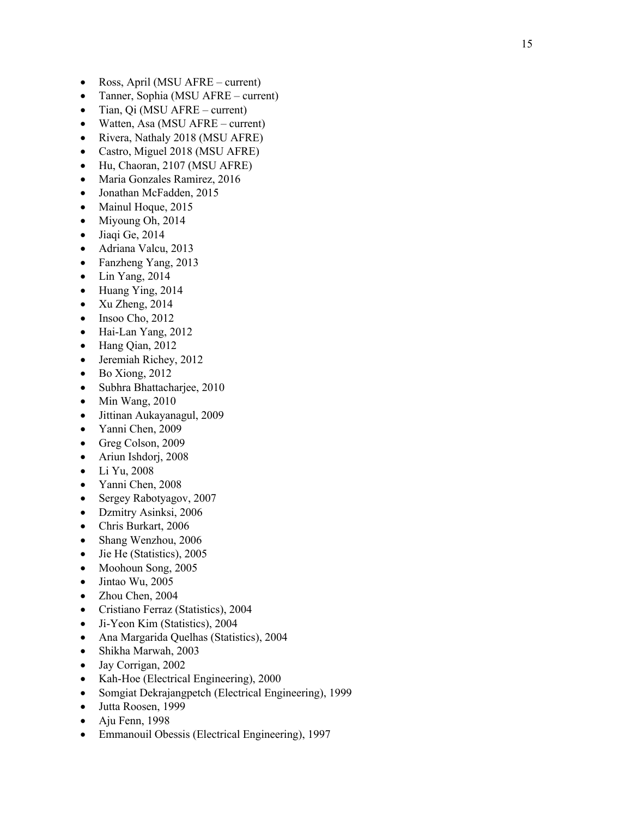- Ross, April (MSU AFRE current)
- Tanner, Sophia (MSU AFRE current)
- Tian, Qi (MSU AFRE current)
- Watten, Asa (MSU AFRE current)
- Rivera, Nathaly 2018 (MSU AFRE)
- Castro, Miguel 2018 (MSU AFRE)
- Hu, Chaoran, 2107 (MSU AFRE)
- Maria Gonzales Ramirez, 2016
- Jonathan McFadden, 2015
- Mainul Hoque, 2015
- Miyoung Oh, 2014
- Jiaqi Ge, 2014
- Adriana Valcu, 2013
- Fanzheng Yang, 2013
- Lin Yang, 2014
- Huang Ying, 2014
- Xu Zheng, 2014
- Insoo Cho, 2012
- Hai-Lan Yang, 2012
- Hang Qian, 2012
- Jeremiah Richey, 2012
- $\bullet$  Bo Xiong, 2012
- Subhra Bhattacharjee, 2010
- Min Wang, 2010
- Jittinan Aukayanagul, 2009
- Yanni Chen, 2009
- Greg Colson, 2009
- Ariun Ishdorj, 2008
- Li Yu, 2008
- Yanni Chen, 2008
- Sergey Rabotyagov, 2007
- Dzmitry Asinksi, 2006
- Chris Burkart, 2006
- Shang Wenzhou, 2006
- Jie He (Statistics), 2005
- Moohoun Song, 2005
- Jintao Wu, 2005
- Zhou Chen, 2004
- Cristiano Ferraz (Statistics), 2004
- Ji-Yeon Kim (Statistics), 2004
- Ana Margarida Quelhas (Statistics), 2004
- Shikha Marwah, 2003
- Jay Corrigan, 2002
- Kah-Hoe (Electrical Engineering), 2000
- Somgiat Dekrajangpetch (Electrical Engineering ), 1999
- Jutta Roosen, 1999
- Aju Fenn, 1998
- Emmanouil Obessis (Electrical Engineering), 1997